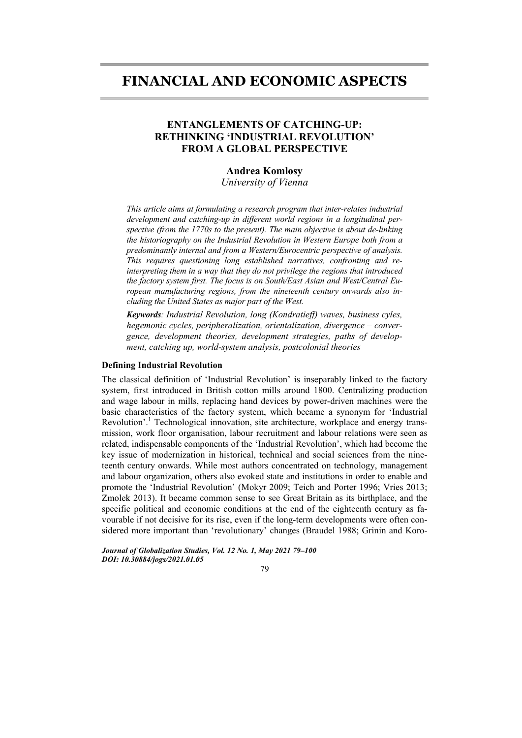# **FINANCIAL AND ECONOMIC ASPECTS**

## **ENTANGLEMENTS OF CATCHING-UP: RETHINKING 'INDUSTRIAL REVOLUTION' FROM A GLOBAL PERSPECTIVE**

## **Andrea Komlosy**

*University of Vienna* 

*This article aims at formulating a research program that inter-relates industrial development and catching-up in different world regions in a longitudinal perspective (from the 1770s to the present). The main objective is about de-linking the historiography on the Industrial Revolution in Western Europe both from a predominantly internal and from a Western/Eurocentric perspective of analysis. This requires questioning long established narratives, confronting and reinterpreting them in a way that they do not privilege the regions that introduced the factory system first. The focus is on South/East Asian and West/Central European manufacturing regions, from the nineteenth century onwards also including the United States as major part of the West.* 

*Keywords: Industrial Revolution, long (Kondratieff) waves, business cyles, hegemonic cycles, peripheralization, orientalization, divergence – convergence, development theories, development strategies, paths of development, catching up, world-system analysis, postcolonial theories*

## **Defining Industrial Revolution**

The classical definition of 'Industrial Revolution' is inseparably linked to the factory system, first introduced in British cotton mills around 1800. Centralizing production and wage labour in mills, replacing hand devices by power-driven machines were the basic characteristics of the factory system, which became a synonym for 'Industrial Revolution'.<sup>1</sup> Technological innovation, site architecture, workplace and energy transmission, work floor organisation, labour recruitment and labour relations were seen as related, indispensable components of the 'Industrial Revolution', which had become the key issue of modernization in historical, technical and social sciences from the nineteenth century onwards. While most authors concentrated on technology, management and labour organization, others also evoked state and institutions in order to enable and promote the 'Industrial Revolution' (Mokyr 2009; Teich and Porter 1996; Vries 2013; Zmolek 2013). It became common sense to see Great Britain as its birthplace, and the specific political and economic conditions at the end of the eighteenth century as favourable if not decisive for its rise, even if the long-term developments were often considered more important than 'revolutionary' changes (Braudel 1988; Grinin and Koro-

*Journal of Globalization Studies, Vol. 12 No. 1, May 2021 79–100 DOI: 10.30884/jogs/2021.01.05* 

#### 79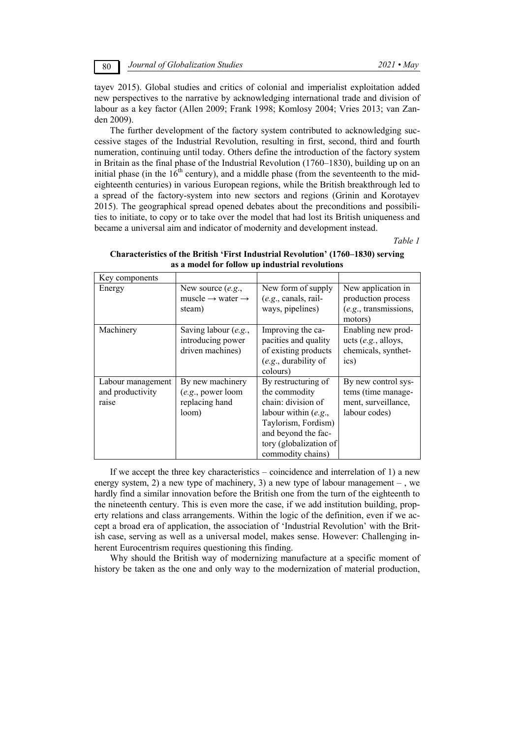tayev 2015). Global studies and critics of colonial and imperialist exploitation added new perspectives to the narrative by acknowledging international trade and division of labour as a key factor (Allen 2009; Frank 1998; Komlosy 2004; Vries 2013; van Zanden 2009).

The further development of the factory system contributed to acknowledging successive stages of the Industrial Revolution, resulting in first, second, third and fourth numeration, continuing until today. Others define the introduction of the factory system in Britain as the final phase of the Industrial Revolution (1760–1830), building up on an initial phase (in the  $16<sup>th</sup>$  century), and a middle phase (from the seventeenth to the mideighteenth centuries) in various European regions, while the British breakthrough led to a spread of the factory-system into new sectors and regions (Grinin and Korotayev 2015). The geographical spread opened debates about the preconditions and possibilities to initiate, to copy or to take over the model that had lost its British uniqueness and became a universal aim and indicator of modernity and development instead.

*Table 1* 

| Key components                                 |                                                                           |                                                                                                                                                                                   |                                                                                   |
|------------------------------------------------|---------------------------------------------------------------------------|-----------------------------------------------------------------------------------------------------------------------------------------------------------------------------------|-----------------------------------------------------------------------------------|
| Energy                                         | New source $(e.g.,$<br>muscle $\rightarrow$ water $\rightarrow$<br>steam) | New form of supply<br>$(e.g., canals, rail-$<br>ways, pipelines)                                                                                                                  | New application in<br>production process<br>$(e.g.,$ transmissions,<br>motors)    |
| Machinery                                      | Saving labour (e.g.,<br>introducing power<br>driven machines)             | Improving the ca-<br>pacities and quality<br>of existing products<br>$(e.g.,$ durability of<br>colours)                                                                           | Enabling new prod-<br>ucts $(e.g.,$ alloys,<br>chemicals, synthet-<br>ics)        |
| Labour management<br>and productivity<br>raise | By new machinery<br>(e.g., power loom<br>replacing hand<br>loom)          | By restructuring of<br>the commodity<br>chain: division of<br>labour within $(e.g.,$<br>Taylorism, Fordism)<br>and beyond the fac-<br>tory (globalization of<br>commodity chains) | By new control sys-<br>tems (time manage-<br>ment, surveillance,<br>labour codes) |

## **Characteristics of the British 'First Industrial Revolution' (1760–1830) serving as a model for follow up industrial revolutions**

If we accept the three key characteristics – coincidence and interrelation of 1) a new energy system, 2) a new type of machinery, 3) a new type of labour management – , we hardly find a similar innovation before the British one from the turn of the eighteenth to the nineteenth century. This is even more the case, if we add institution building, property relations and class arrangements. Within the logic of the definition, even if we accept a broad era of application, the association of 'Industrial Revolution' with the British case, serving as well as a universal model, makes sense. However: Challenging inherent Eurocentrism requires questioning this finding.

Why should the British way of modernizing manufacture at a specific moment of history be taken as the one and only way to the modernization of material production,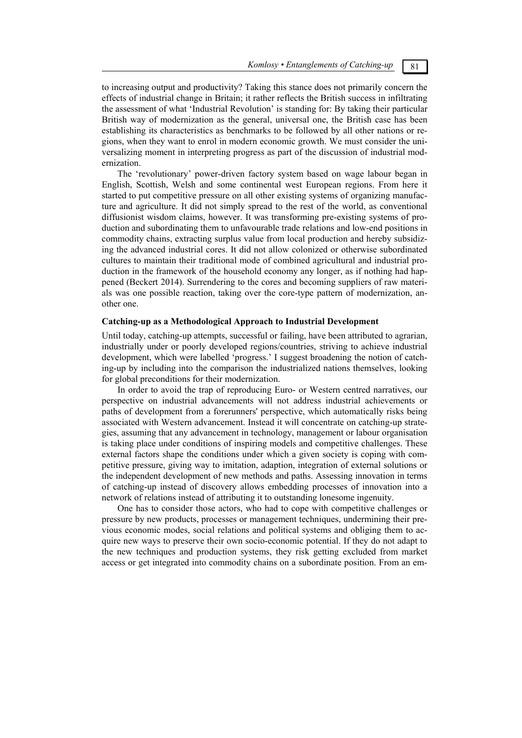to increasing output and productivity? Taking this stance does not primarily concern the effects of industrial change in Britain; it rather reflects the British success in infiltrating the assessment of what 'Industrial Revolution' is standing for: By taking their particular British way of modernization as the general, universal one, the British case has been establishing its characteristics as benchmarks to be followed by all other nations or regions, when they want to enrol in modern economic growth. We must consider the universalizing moment in interpreting progress as part of the discussion of industrial modernization.

The 'revolutionary' power-driven factory system based on wage labour began in English, Scottish, Welsh and some continental west European regions. From here it started to put competitive pressure on all other existing systems of organizing manufacture and agriculture. It did not simply spread to the rest of the world, as conventional diffusionist wisdom claims, however. It was transforming pre-existing systems of production and subordinating them to unfavourable trade relations and low-end positions in commodity chains, extracting surplus value from local production and hereby subsidizing the advanced industrial cores. It did not allow colonized or otherwise subordinated cultures to maintain their traditional mode of combined agricultural and industrial production in the framework of the household economy any longer, as if nothing had happened (Beckert 2014). Surrendering to the cores and becoming suppliers of raw materials was one possible reaction, taking over the core-type pattern of modernization, another one.

## **Catching-up as a Methodological Approach to Industrial Development**

Until today, catching-up attempts, successful or failing, have been attributed to agrarian, industrially under or poorly developed regions/countries, striving to achieve industrial development, which were labelled 'progress.' I suggest broadening the notion of catching-up by including into the comparison the industrialized nations themselves, looking for global preconditions for their modernization.

In order to avoid the trap of reproducing Euro- or Western centred narratives, our perspective on industrial advancements will not address industrial achievements or paths of development from a forerunners' perspective, which automatically risks being associated with Western advancement. Instead it will concentrate on catching-up strategies, assuming that any advancement in technology, management or labour organisation is taking place under conditions of inspiring models and competitive challenges. These external factors shape the conditions under which a given society is coping with competitive pressure, giving way to imitation, adaption, integration of external solutions or the independent development of new methods and paths. Assessing innovation in terms of catching-up instead of discovery allows embedding processes of innovation into a network of relations instead of attributing it to outstanding lonesome ingenuity.

One has to consider those actors, who had to cope with competitive challenges or pressure by new products, processes or management techniques, undermining their previous economic modes, social relations and political systems and obliging them to acquire new ways to preserve their own socio-economic potential. If they do not adapt to the new techniques and production systems, they risk getting excluded from market access or get integrated into commodity chains on a subordinate position. From an em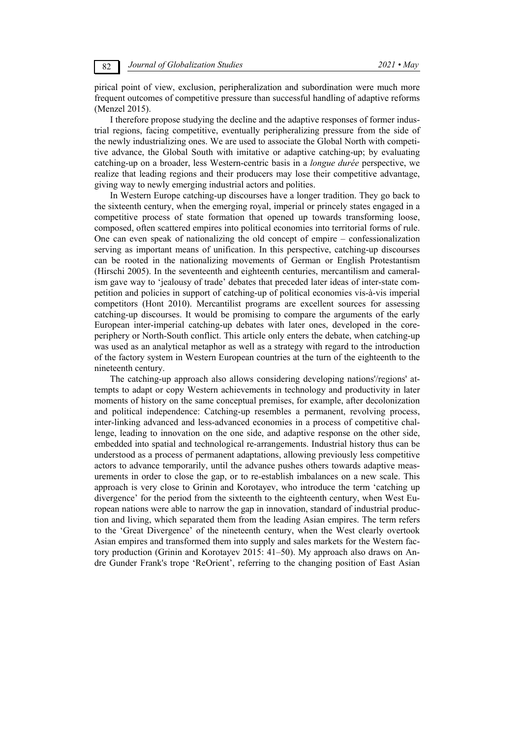pirical point of view, exclusion, peripheralization and subordination were much more frequent outcomes of competitive pressure than successful handling of adaptive reforms (Menzel 2015).

I therefore propose studying the decline and the adaptive responses of former industrial regions, facing competitive, eventually peripheralizing pressure from the side of the newly industrializing ones. We are used to associate the Global North with competitive advance, the Global South with imitative or adaptive catching-up; by evaluating catching-up on a broader, less Western-centric basis in a *longue durée* perspective, we realize that leading regions and their producers may lose their competitive advantage, giving way to newly emerging industrial actors and polities.

In Western Europe catching-up discourses have a longer tradition. They go back to the sixteenth century, when the emerging royal, imperial or princely states engaged in a competitive process of state formation that opened up towards transforming loose, composed, often scattered empires into political economies into territorial forms of rule. One can even speak of nationalizing the old concept of empire – confessionalization serving as important means of unification. In this perspective, catching-up discourses can be rooted in the nationalizing movements of German or English Protestantism (Hirschi 2005). In the seventeenth and eighteenth centuries, mercantilism and cameralism gave way to 'jealousy of trade' debates that preceded later ideas of inter-state competition and policies in support of catching-up of political economies vis-à-vis imperial competitors (Hont 2010). Mercantilist programs are excellent sources for assessing catching-up discourses. It would be promising to compare the arguments of the early European inter-imperial catching-up debates with later ones, developed in the coreperiphery or North-South conflict. This article only enters the debate, when catching-up was used as an analytical metaphor as well as a strategy with regard to the introduction of the factory system in Western European countries at the turn of the eighteenth to the nineteenth century.

The catching-up approach also allows considering developing nations'/regions' attempts to adapt or copy Western achievements in technology and productivity in later moments of history on the same conceptual premises, for example, after decolonization and political independence: Catching-up resembles a permanent, revolving process, inter-linking advanced and less-advanced economies in a process of competitive challenge, leading to innovation on the one side, and adaptive response on the other side, embedded into spatial and technological re-arrangements. Industrial history thus can be understood as a process of permanent adaptations, allowing previously less competitive actors to advance temporarily, until the advance pushes others towards adaptive measurements in order to close the gap, or to re-establish imbalances on a new scale. This approach is very close to Grinin and Korotayev, who introduce the term 'catching up divergence' for the period from the sixteenth to the eighteenth century, when West European nations were able to narrow the gap in innovation, standard of industrial production and living, which separated them from the leading Asian empires. The term refers to the 'Great Divergence' of the nineteenth century, when the West clearly overtook Asian empires and transformed them into supply and sales markets for the Western factory production (Grinin and Korotayev 2015: 41–50). My approach also draws on Andre Gunder Frank's trope 'ReOrient', referring to the changing position of East Asian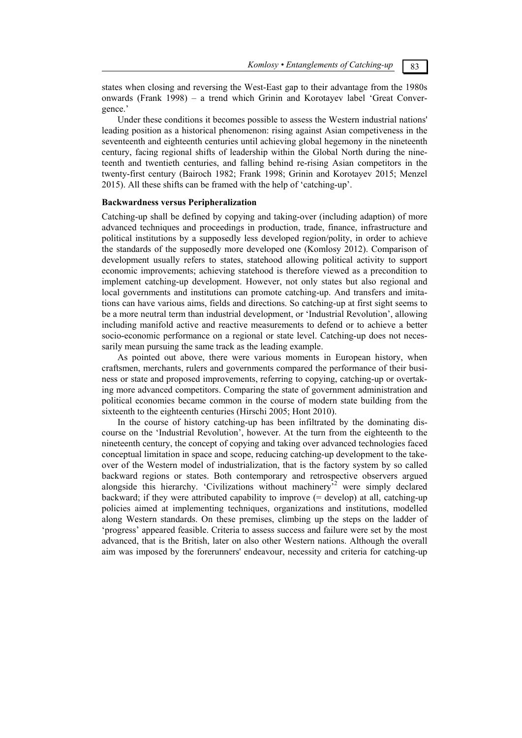states when closing and reversing the West-East gap to their advantage from the 1980s onwards (Frank 1998) – a trend which Grinin and Korotayev label 'Great Convergence.'

Under these conditions it becomes possible to assess the Western industrial nations' leading position as a historical phenomenon: rising against Asian competiveness in the seventeenth and eighteenth centuries until achieving global hegemony in the nineteenth century, facing regional shifts of leadership within the Global North during the nineteenth and twentieth centuries, and falling behind re-rising Asian competitors in the twenty-first century (Bairoch 1982; Frank 1998; Grinin and Korotayev 2015; Menzel 2015). All these shifts can be framed with the help of 'catching-up'.

#### **Backwardness versus Peripheralization**

Catching-up shall be defined by copying and taking-over (including adaption) of more advanced techniques and proceedings in production, trade, finance, infrastructure and political institutions by a supposedly less developed region/polity, in order to achieve the standards of the supposedly more developed one (Komlosy 2012). Comparison of development usually refers to states, statehood allowing political activity to support economic improvements; achieving statehood is therefore viewed as a precondition to implement catching-up development. However, not only states but also regional and local governments and institutions can promote catching-up. And transfers and imitations can have various aims, fields and directions. So catching-up at first sight seems to be a more neutral term than industrial development, or 'Industrial Revolution', allowing including manifold active and reactive measurements to defend or to achieve a better socio-economic performance on a regional or state level. Catching-up does not necessarily mean pursuing the same track as the leading example.

As pointed out above, there were various moments in European history, when craftsmen, merchants, rulers and governments compared the performance of their business or state and proposed improvements, referring to copying, catching-up or overtaking more advanced competitors. Comparing the state of government administration and political economies became common in the course of modern state building from the sixteenth to the eighteenth centuries (Hirschi 2005; Hont 2010).

In the course of history catching-up has been infiltrated by the dominating discourse on the 'Industrial Revolution', however. At the turn from the eighteenth to the nineteenth century, the concept of copying and taking over advanced technologies faced conceptual limitation in space and scope, reducing catching-up development to the takeover of the Western model of industrialization, that is the factory system by so called backward regions or states. Both contemporary and retrospective observers argued alongside this hierarchy. 'Civilizations without machinery<sup>52</sup> were simply declared backward; if they were attributed capability to improve (= develop) at all, catching-up policies aimed at implementing techniques, organizations and institutions, modelled along Western standards. On these premises, climbing up the steps on the ladder of 'progress' appeared feasible. Criteria to assess success and failure were set by the most advanced, that is the British, later on also other Western nations. Although the overall aim was imposed by the forerunners' endeavour, necessity and criteria for catching-up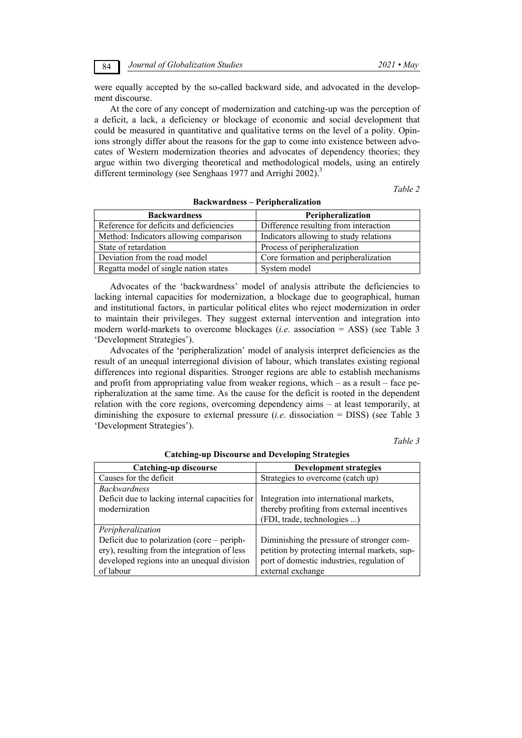were equally accepted by the so-called backward side, and advocated in the development discourse.

At the core of any concept of modernization and catching-up was the perception of a deficit, a lack, a deficiency or blockage of economic and social development that could be measured in quantitative and qualitative terms on the level of a polity. Opinions strongly differ about the reasons for the gap to come into existence between advocates of Western modernization theories and advocates of dependency theories; they argue within two diverging theoretical and methodological models, using an entirely different terminology (see Senghaas 1977 and Arrighi 2002).<sup>3</sup>

*Table 2* 

| <b>Backwardness</b>                     | Peripheralization                      |  |
|-----------------------------------------|----------------------------------------|--|
| Reference for deficits and deficiencies | Difference resulting from interaction  |  |
| Method: Indicators allowing comparison  | Indicators allowing to study relations |  |
| State of retardation                    | Process of peripheralization           |  |
| Deviation from the road model           | Core formation and peripheralization   |  |
| Regatta model of single nation states   | System model                           |  |

#### **Backwardness – Peripheralization**

Advocates of the 'backwardness' model of analysis attribute the deficiencies to lacking internal capacities for modernization, a blockage due to geographical, human and institutional factors, in particular political elites who reject modernization in order to maintain their privileges. They suggest external intervention and integration into modern world-markets to overcome blockages (*i.e*. association = ASS) (see Table 3 'Development Strategies').

Advocates of the 'peripheralization' model of analysis interpret deficiencies as the result of an unequal interregional division of labour, which translates existing regional differences into regional disparities. Stronger regions are able to establish mechanisms and profit from appropriating value from weaker regions, which – as a result – face peripheralization at the same time. As the cause for the deficit is rooted in the dependent relation with the core regions, overcoming dependency aims – at least temporarily, at diminishing the exposure to external pressure (*i.e*. dissociation = DISS) (see Table 3 'Development Strategies').

*Table 3* 

| Catching-up discourse                          | <b>Development strategies</b>                 |  |
|------------------------------------------------|-----------------------------------------------|--|
| Causes for the deficit                         | Strategies to overcome (catch up)             |  |
| <b>Backwardness</b>                            |                                               |  |
| Deficit due to lacking internal capacities for | Integration into international markets,       |  |
| modernization                                  | thereby profiting from external incentives    |  |
|                                                | (FDI, trade, technologies )                   |  |
| Peripheralization                              |                                               |  |
| Deficit due to polarization (core – periph-    | Diminishing the pressure of stronger com-     |  |
| ery), resulting from the integration of less   | petition by protecting internal markets, sup- |  |
| developed regions into an unequal division     | port of domestic industries, regulation of    |  |
| of labour                                      | external exchange                             |  |

**Catching-up Discourse and Developing Strategies**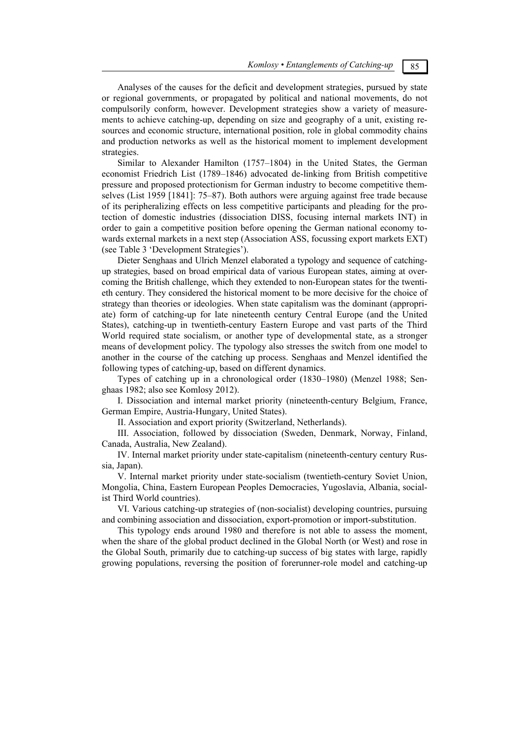*Komlosy • Entanglements of Catching-up* 85

Analyses of the causes for the deficit and development strategies, pursued by state or regional governments, or propagated by political and national movements, do not compulsorily conform, however. Development strategies show a variety of measurements to achieve catching-up, depending on size and geography of a unit, existing resources and economic structure, international position, role in global commodity chains and production networks as well as the historical moment to implement development strategies.

Similar to Alexander Hamilton (1757–1804) in the United States, the German economist Friedrich List (1789–1846) advocated de-linking from British competitive pressure and proposed protectionism for German industry to become competitive themselves (List 1959 [1841]: 75–87). Both authors were arguing against free trade because of its peripheralizing effects on less competitive participants and pleading for the protection of domestic industries (dissociation DISS, focusing internal markets INT) in order to gain a competitive position before opening the German national economy towards external markets in a next step (Association ASS, focussing export markets EXT) (see Table 3 'Development Strategies').

Dieter Senghaas and Ulrich Menzel elaborated a typology and sequence of catchingup strategies, based on broad empirical data of various European states, aiming at overcoming the British challenge, which they extended to non-European states for the twentieth century. They considered the historical moment to be more decisive for the choice of strategy than theories or ideologies. When state capitalism was the dominant (appropriate) form of catching-up for late nineteenth century Central Europe (and the United States), catching-up in twentieth-century Eastern Europe and vast parts of the Third World required state socialism, or another type of developmental state, as a stronger means of development policy. The typology also stresses the switch from one model to another in the course of the catching up process. Senghaas and Menzel identified the following types of catching-up, based on different dynamics.

Types of catching up in a chronological order (1830–1980) (Menzel 1988; Senghaas 1982; also see Komlosy 2012).

I. Dissociation and internal market priority (nineteenth-century Belgium, France, German Empire, Austria-Hungary, United States).

II. Association and export priority (Switzerland, Netherlands).

III. Association, followed by dissociation (Sweden, Denmark, Norway, Finland, Canada, Australia, New Zealand).

IV. Internal market priority under state-capitalism (nineteenth-century century Russia, Japan).

V. Internal market priority under state-socialism (twentieth-century Soviet Union, Mongolia, China, Eastern European Peoples Democracies, Yugoslavia, Albania, socialist Third World countries).

VI. Various catching-up strategies of (non-socialist) developing countries, pursuing and combining association and dissociation, export-promotion or import-substitution.

This typology ends around 1980 and therefore is not able to assess the moment, when the share of the global product declined in the Global North (or West) and rose in the Global South, primarily due to catching-up success of big states with large, rapidly growing populations, reversing the position of forerunner-role model and catching-up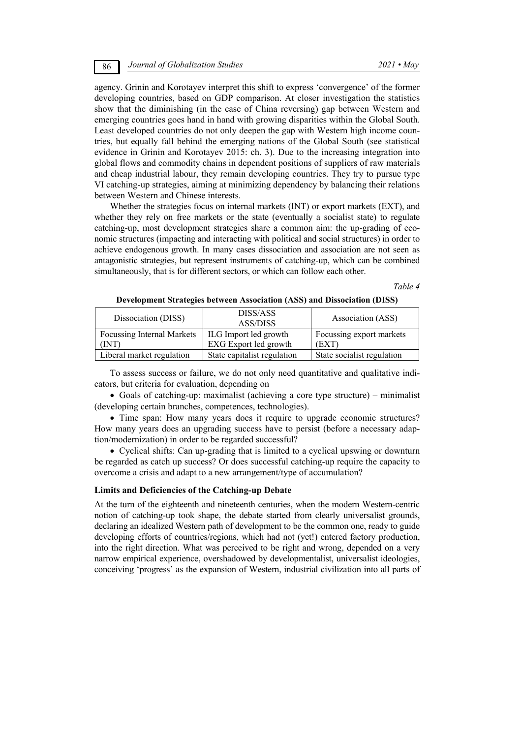agency. Grinin and Korotayev interpret this shift to express 'convergence' of the former developing countries, based on GDP comparison. At closer investigation the statistics show that the diminishing (in the case of China reversing) gap between Western and emerging countries goes hand in hand with growing disparities within the Global South. Least developed countries do not only deepen the gap with Western high income countries, but equally fall behind the emerging nations of the Global South (see statistical evidence in Grinin and Korotayev 2015: ch. 3). Due to the increasing integration into global flows and commodity chains in dependent positions of suppliers of raw materials and cheap industrial labour, they remain developing countries. They try to pursue type VI catching-up strategies, aiming at minimizing dependency by balancing their relations between Western and Chinese interests.

Whether the strategies focus on internal markets (INT) or export markets (EXT), and whether they rely on free markets or the state (eventually a socialist state) to regulate catching-up, most development strategies share a common aim: the up-grading of economic structures (impacting and interacting with political and social structures) in order to achieve endogenous growth. In many cases dissociation and association are not seen as antagonistic strategies, but represent instruments of catching-up, which can be combined simultaneously, that is for different sectors, or which can follow each other.

*Table 4* 

| Dissociation (DISS)               | DISS/ASS<br><b>ASS/DISS</b> | Association (ASS)          |
|-----------------------------------|-----------------------------|----------------------------|
| <b>Focussing Internal Markets</b> | ILG Import led growth       | Focussing export markets   |
| TNT)                              | EXG Export led growth       | (EXT)                      |
| Liberal market regulation         | State capitalist regulation | State socialist regulation |

**Development Strategies between Association (ASS) and Dissociation (DISS)** 

To assess success or failure, we do not only need quantitative and qualitative indicators, but criteria for evaluation, depending on

 Goals of catching-up: maximalist (achieving a core type structure) – minimalist (developing certain branches, competences, technologies).

• Time span: How many years does it require to upgrade economic structures? How many years does an upgrading success have to persist (before a necessary adaption/modernization) in order to be regarded successful?

 Cyclical shifts: Can up-grading that is limited to a cyclical upswing or downturn be regarded as catch up success? Or does successful catching-up require the capacity to overcome a crisis and adapt to a new arrangement/type of accumulation?

#### **Limits and Deficiencies of the Catching-up Debate**

At the turn of the eighteenth and nineteenth centuries, when the modern Western-centric notion of catching-up took shape, the debate started from clearly universalist grounds, declaring an idealized Western path of development to be the common one, ready to guide developing efforts of countries/regions, which had not (yet!) entered factory production, into the right direction. What was perceived to be right and wrong, depended on a very narrow empirical experience, overshadowed by developmentalist, universalist ideologies, conceiving 'progress' as the expansion of Western, industrial civilization into all parts of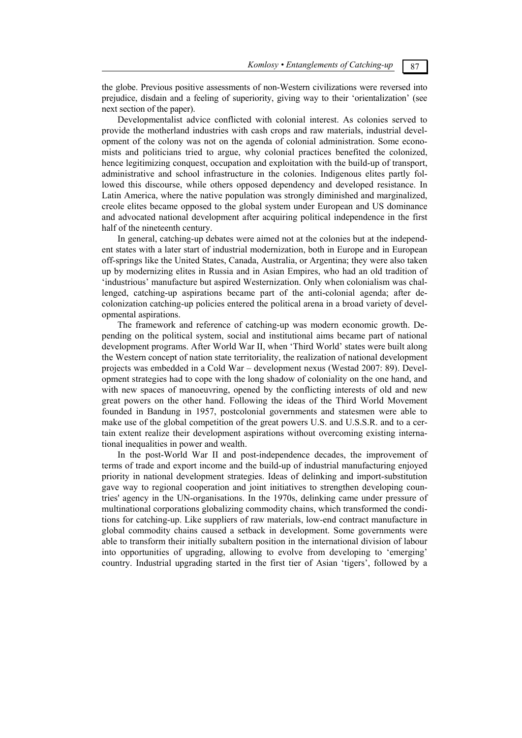the globe. Previous positive assessments of non-Western civilizations were reversed into prejudice, disdain and a feeling of superiority, giving way to their 'orientalization' (see next section of the paper).

Developmentalist advice conflicted with colonial interest. As colonies served to provide the motherland industries with cash crops and raw materials, industrial development of the colony was not on the agenda of colonial administration. Some economists and politicians tried to argue, why colonial practices benefited the colonized, hence legitimizing conquest, occupation and exploitation with the build-up of transport, administrative and school infrastructure in the colonies. Indigenous elites partly followed this discourse, while others opposed dependency and developed resistance. In Latin America, where the native population was strongly diminished and marginalized, creole elites became opposed to the global system under European and US dominance and advocated national development after acquiring political independence in the first half of the nineteenth century.

In general, catching-up debates were aimed not at the colonies but at the independent states with a later start of industrial modernization, both in Europe and in European off-springs like the United States, Canada, Australia, or Argentina; they were also taken up by modernizing elites in Russia and in Asian Empires, who had an old tradition of 'industrious' manufacture but aspired Westernization. Only when colonialism was challenged, catching-up aspirations became part of the anti-colonial agenda; after decolonization catching-up policies entered the political arena in a broad variety of developmental aspirations.

The framework and reference of catching-up was modern economic growth. Depending on the political system, social and institutional aims became part of national development programs. After World War II, when 'Third World' states were built along the Western concept of nation state territoriality, the realization of national development projects was embedded in a Cold War – development nexus (Westad 2007: 89). Development strategies had to cope with the long shadow of coloniality on the one hand, and with new spaces of manoeuvring, opened by the conflicting interests of old and new great powers on the other hand. Following the ideas of the Third World Movement founded in Bandung in 1957, postcolonial governments and statesmen were able to make use of the global competition of the great powers U.S. and U.S.S.R. and to a certain extent realize their development aspirations without overcoming existing international inequalities in power and wealth.

In the post-World War II and post-independence decades, the improvement of terms of trade and export income and the build-up of industrial manufacturing enjoyed priority in national development strategies. Ideas of delinking and import-substitution gave way to regional cooperation and joint initiatives to strengthen developing countries' agency in the UN-organisations. In the 1970s, delinking came under pressure of multinational corporations globalizing commodity chains, which transformed the conditions for catching-up. Like suppliers of raw materials, low-end contract manufacture in global commodity chains caused a setback in development. Some governments were able to transform their initially subaltern position in the international division of labour into opportunities of upgrading, allowing to evolve from developing to 'emerging' country. Industrial upgrading started in the first tier of Asian 'tigers', followed by a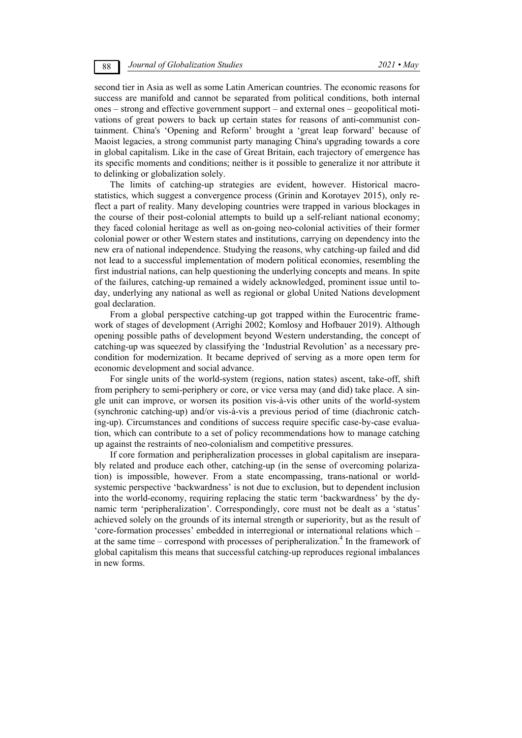second tier in Asia as well as some Latin American countries. The economic reasons for success are manifold and cannot be separated from political conditions, both internal ones – strong and effective government support – and external ones – geopolitical motivations of great powers to back up certain states for reasons of anti-communist containment. China's 'Opening and Reform' brought a 'great leap forward' because of Maoist legacies, a strong communist party managing China's upgrading towards a core in global capitalism. Like in the case of Great Britain, each trajectory of emergence has its specific moments and conditions; neither is it possible to generalize it nor attribute it to delinking or globalization solely.

The limits of catching-up strategies are evident, however. Historical macrostatistics, which suggest a convergence process (Grinin and Korotayev 2015), only reflect a part of reality. Many developing countries were trapped in various blockages in the course of their post-colonial attempts to build up a self-reliant national economy; they faced colonial heritage as well as on-going neo-colonial activities of their former colonial power or other Western states and institutions, carrying on dependency into the new era of national independence. Studying the reasons, why catching-up failed and did not lead to a successful implementation of modern political economies, resembling the first industrial nations, can help questioning the underlying concepts and means. In spite of the failures, catching-up remained a widely acknowledged, prominent issue until today, underlying any national as well as regional or global United Nations development goal declaration.

From a global perspective catching-up got trapped within the Eurocentric framework of stages of development (Arrighi 2002; Komlosy and Hofbauer 2019). Although opening possible paths of development beyond Western understanding, the concept of catching-up was squeezed by classifying the 'Industrial Revolution' as a necessary precondition for modernization. It became deprived of serving as a more open term for economic development and social advance.

For single units of the world-system (regions, nation states) ascent, take-off, shift from periphery to semi-periphery or core, or vice versa may (and did) take place. A single unit can improve, or worsen its position vis-à-vis other units of the world-system (synchronic catching-up) and/or vis-à-vis a previous period of time (diachronic catching-up). Circumstances and conditions of success require specific case-by-case evaluation, which can contribute to a set of policy recommendations how to manage catching up against the restraints of neo-colonialism and competitive pressures.

If core formation and peripheralization processes in global capitalism are inseparably related and produce each other, catching-up (in the sense of overcoming polarization) is impossible, however. From a state encompassing, trans-national or worldsystemic perspective 'backwardness' is not due to exclusion, but to dependent inclusion into the world-economy, requiring replacing the static term 'backwardness' by the dynamic term 'peripheralization'. Correspondingly, core must not be dealt as a 'status' achieved solely on the grounds of its internal strength or superiority, but as the result of 'core-formation processes' embedded in interregional or international relations which – at the same time – correspond with processes of peripheralization.<sup>4</sup> In the framework of global capitalism this means that successful catching-up reproduces regional imbalances in new forms.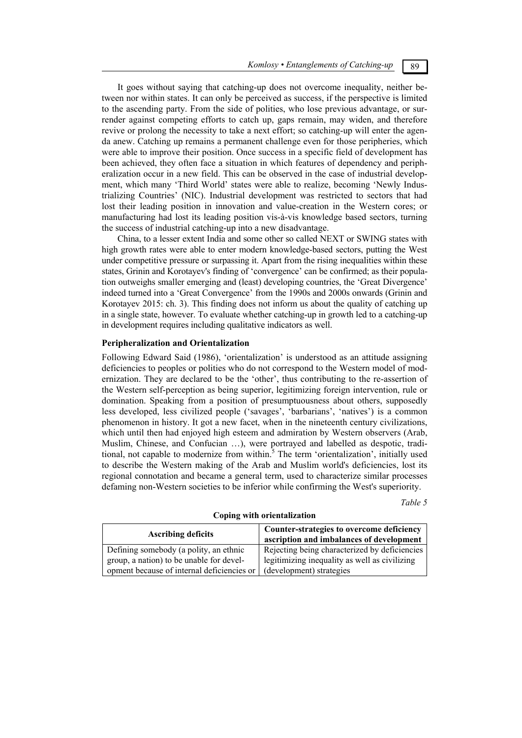It goes without saying that catching-up does not overcome inequality, neither between nor within states. It can only be perceived as success, if the perspective is limited to the ascending party. From the side of polities, who lose previous advantage, or surrender against competing efforts to catch up, gaps remain, may widen, and therefore revive or prolong the necessity to take a next effort; so catching-up will enter the agenda anew. Catching up remains a permanent challenge even for those peripheries, which were able to improve their position. Once success in a specific field of development has been achieved, they often face a situation in which features of dependency and peripheralization occur in a new field. This can be observed in the case of industrial development, which many 'Third World' states were able to realize, becoming 'Newly Industrializing Countries' (NIC). Industrial development was restricted to sectors that had lost their leading position in innovation and value-creation in the Western cores; or manufacturing had lost its leading position vis-à-vis knowledge based sectors, turning the success of industrial catching-up into a new disadvantage.

China, to a lesser extent India and some other so called NEXT or SWING states with high growth rates were able to enter modern knowledge-based sectors, putting the West under competitive pressure or surpassing it. Apart from the rising inequalities within these states, Grinin and Korotayev's finding of 'convergence' can be confirmed; as their population outweighs smaller emerging and (least) developing countries, the 'Great Divergence' indeed turned into a 'Great Convergence' from the 1990s and 2000s onwards (Grinin and Korotayev 2015: ch. 3). This finding does not inform us about the quality of catching up in a single state, however. To evaluate whether catching-up in growth led to a catching-up in development requires including qualitative indicators as well.

#### **Peripheralization and Orientalization**

Following Edward Said (1986), 'orientalization' is understood as an attitude assigning deficiencies to peoples or polities who do not correspond to the Western model of modernization. They are declared to be the 'other', thus contributing to the re-assertion of the Western self-perception as being superior, legitimizing foreign intervention, rule or domination. Speaking from a position of presumptuousness about others, supposedly less developed, less civilized people ('savages', 'barbarians', 'natives') is a common phenomenon in history. It got a new facet, when in the nineteenth century civilizations, which until then had enjoyed high esteem and admiration by Western observers (Arab, Muslim, Chinese, and Confucian …), were portrayed and labelled as despotic, traditional, not capable to modernize from within.<sup>5</sup> The term 'orientalization', initially used to describe the Western making of the Arab and Muslim world's deficiencies, lost its regional connotation and became a general term, used to characterize similar processes defaming non-Western societies to be inferior while confirming the West's superiority.

*Table 5* 

| <b>Ascribing deficits</b>                  | Counter-strategies to overcome deficiency<br>ascription and imbalances of development |  |
|--------------------------------------------|---------------------------------------------------------------------------------------|--|
| Defining somebody (a polity, an ethnic     | Rejecting being characterized by deficiencies                                         |  |
| group, a nation) to be unable for devel-   | legitimizing inequality as well as civilizing                                         |  |
| opment because of internal deficiencies or | (development) strategies                                                              |  |

#### **Coping with orientalization**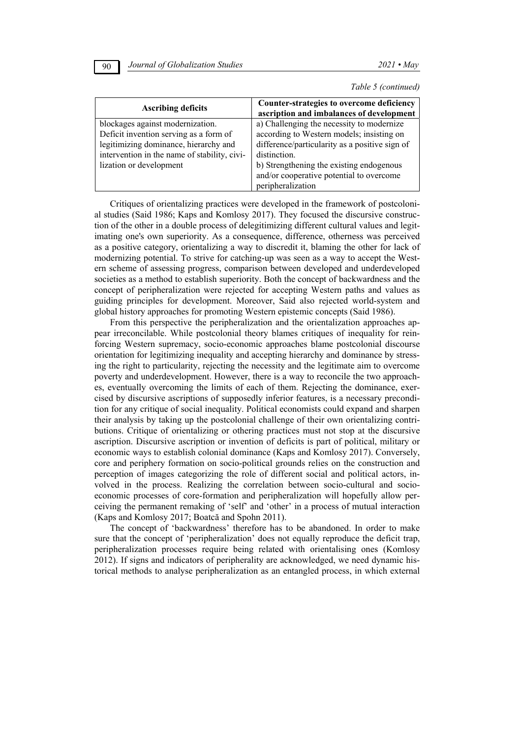| <b>Ascribing deficits</b>                                                                                                                                                                      | Counter-strategies to overcome deficiency<br>ascription and imbalances of development                                                                                                                                                                                 |
|------------------------------------------------------------------------------------------------------------------------------------------------------------------------------------------------|-----------------------------------------------------------------------------------------------------------------------------------------------------------------------------------------------------------------------------------------------------------------------|
| blockages against modernization.<br>Deficit invention serving as a form of<br>legitimizing dominance, hierarchy and<br>intervention in the name of stability, civi-<br>lization or development | a) Challenging the necessity to modernize<br>according to Western models; insisting on<br>difference/particularity as a positive sign of<br>distinction.<br>b) Strengthening the existing endogenous<br>and/or cooperative potential to overcome<br>peripheralization |

*Table 5 (continued)*

Critiques of orientalizing practices were developed in the framework of postcolonial studies (Said 1986; Kaps and Komlosy 2017). They focused the discursive construction of the other in a double process of delegitimizing different cultural values and legitimating one's own superiority. As a consequence, difference, otherness was perceived as a positive category, orientalizing a way to discredit it, blaming the other for lack of modernizing potential. To strive for catching-up was seen as a way to accept the Western scheme of assessing progress, comparison between developed and underdeveloped societies as a method to establish superiority. Both the concept of backwardness and the concept of peripheralization were rejected for accepting Western paths and values as guiding principles for development. Moreover, Said also rejected world-system and global history approaches for promoting Western epistemic concepts (Said 1986).

From this perspective the peripheralization and the orientalization approaches appear irreconcilable. While postcolonial theory blames critiques of inequality for reinforcing Western supremacy, socio-economic approaches blame postcolonial discourse orientation for legitimizing inequality and accepting hierarchy and dominance by stressing the right to particularity, rejecting the necessity and the legitimate aim to overcome poverty and underdevelopment. However, there is a way to reconcile the two approaches, eventually overcoming the limits of each of them. Rejecting the dominance, exercised by discursive ascriptions of supposedly inferior features, is a necessary precondition for any critique of social inequality. Political economists could expand and sharpen their analysis by taking up the postcolonial challenge of their own orientalizing contributions. Critique of orientalizing or othering practices must not stop at the discursive ascription. Discursive ascription or invention of deficits is part of political, military or economic ways to establish colonial dominance (Kaps and Komlosy 2017). Conversely, core and periphery formation on socio-political grounds relies on the construction and perception of images categorizing the role of different social and political actors, involved in the process. Realizing the correlation between socio-cultural and socioeconomic processes of core-formation and peripheralization will hopefully allow perceiving the permanent remaking of 'self' and 'other' in a process of mutual interaction (Kaps and Komlosy 2017; Boatcă and Spohn 2011).

The concept of 'backwardness' therefore has to be abandoned. In order to make sure that the concept of 'peripheralization' does not equally reproduce the deficit trap, peripheralization processes require being related with orientalising ones (Komlosy 2012). If signs and indicators of peripherality are acknowledged, we need dynamic historical methods to analyse peripheralization as an entangled process, in which external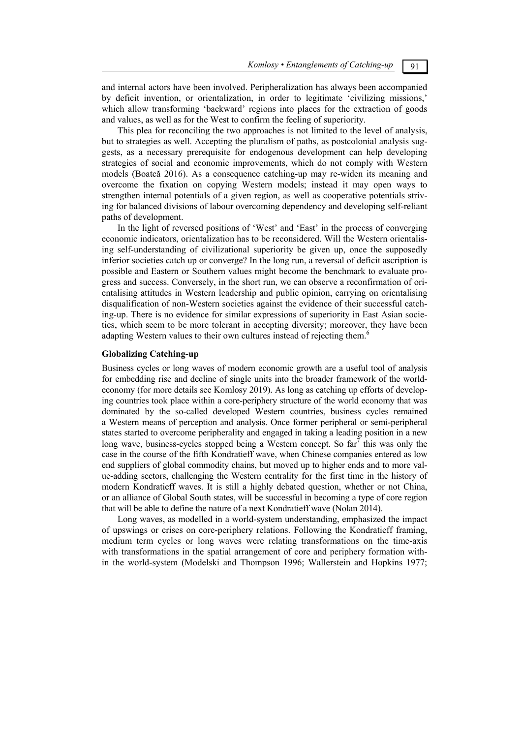and internal actors have been involved. Peripheralization has always been accompanied by deficit invention, or orientalization, in order to legitimate 'civilizing missions,' which allow transforming 'backward' regions into places for the extraction of goods and values, as well as for the West to confirm the feeling of superiority.

This plea for reconciling the two approaches is not limited to the level of analysis, but to strategies as well. Accepting the pluralism of paths, as postcolonial analysis suggests, as a necessary prerequisite for endogenous development can help developing strategies of social and economic improvements, which do not comply with Western models (Boatcă 2016). As a consequence catching-up may re-widen its meaning and overcome the fixation on copying Western models; instead it may open ways to strengthen internal potentials of a given region, as well as cooperative potentials striving for balanced divisions of labour overcoming dependency and developing self-reliant paths of development.

In the light of reversed positions of 'West' and 'East' in the process of converging economic indicators, orientalization has to be reconsidered. Will the Western orientalising self-understanding of civilizational superiority be given up, once the supposedly inferior societies catch up or converge? In the long run, a reversal of deficit ascription is possible and Eastern or Southern values might become the benchmark to evaluate progress and success. Conversely, in the short run, we can observe a reconfirmation of orientalising attitudes in Western leadership and public opinion, carrying on orientalising disqualification of non-Western societies against the evidence of their successful catching-up. There is no evidence for similar expressions of superiority in East Asian societies, which seem to be more tolerant in accepting diversity; moreover, they have been adapting Western values to their own cultures instead of rejecting them.<sup>6</sup>

#### **Globalizing Catching-up**

Business cycles or long waves of modern economic growth are a useful tool of analysis for embedding rise and decline of single units into the broader framework of the worldeconomy (for more details see Komlosy 2019). As long as catching up efforts of developing countries took place within a core-periphery structure of the world economy that was dominated by the so-called developed Western countries, business cycles remained a Western means of perception and analysis. Once former peripheral or semi-peripheral states started to overcome peripherality and engaged in taking a leading position in a new long wave, business-cycles stopped being a Western concept. So far<sup>7</sup> this was only the case in the course of the fifth Kondratieff wave, when Chinese companies entered as low end suppliers of global commodity chains, but moved up to higher ends and to more value-adding sectors, challenging the Western centrality for the first time in the history of modern Kondratieff waves. It is still a highly debated question, whether or not China, or an alliance of Global South states, will be successful in becoming a type of core region that will be able to define the nature of a next Kondratieff wave (Nolan 2014).

Long waves, as modelled in a world-system understanding, emphasized the impact of upswings or crises on core-periphery relations. Following the Kondratieff framing, medium term cycles or long waves were relating transformations on the time-axis with transformations in the spatial arrangement of core and periphery formation within the world-system (Modelski and Thompson 1996; Wallerstein and Hopkins 1977;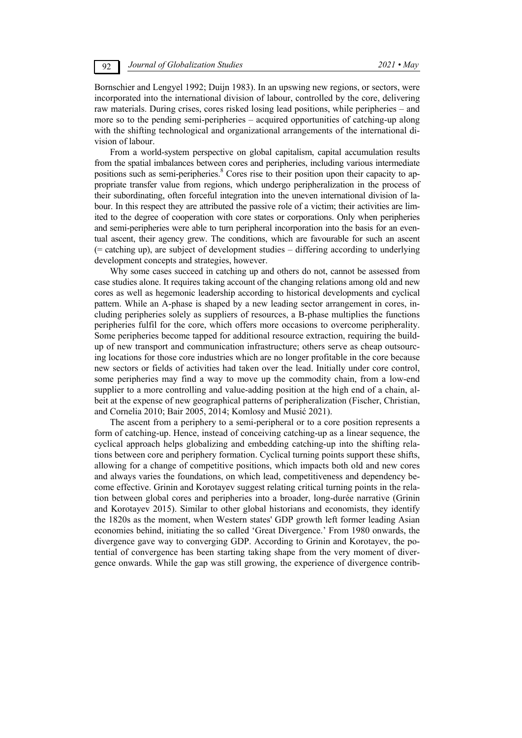Bornschier and Lengyel 1992; Duijn 1983). In an upswing new regions, or sectors, were incorporated into the international division of labour, controlled by the core, delivering raw materials. During crises, cores risked losing lead positions, while peripheries – and more so to the pending semi-peripheries – acquired opportunities of catching-up along with the shifting technological and organizational arrangements of the international division of labour.

From a world-system perspective on global capitalism, capital accumulation results from the spatial imbalances between cores and peripheries, including various intermediate positions such as semi-peripheries.<sup>8</sup> Cores rise to their position upon their capacity to appropriate transfer value from regions, which undergo peripheralization in the process of their subordinating, often forceful integration into the uneven international division of labour. In this respect they are attributed the passive role of a victim; their activities are limited to the degree of cooperation with core states or corporations. Only when peripheries and semi-peripheries were able to turn peripheral incorporation into the basis for an eventual ascent, their agency grew. The conditions, which are favourable for such an ascent (= catching up), are subject of development studies – differing according to underlying development concepts and strategies, however.

Why some cases succeed in catching up and others do not, cannot be assessed from case studies alone. It requires taking account of the changing relations among old and new cores as well as hegemonic leadership according to historical developments and cyclical pattern. While an A-phase is shaped by a new leading sector arrangement in cores, including peripheries solely as suppliers of resources, a B-phase multiplies the functions peripheries fulfil for the core, which offers more occasions to overcome peripherality. Some peripheries become tapped for additional resource extraction, requiring the buildup of new transport and communication infrastructure; others serve as cheap outsourcing locations for those core industries which are no longer profitable in the core because new sectors or fields of activities had taken over the lead. Initially under core control, some peripheries may find a way to move up the commodity chain, from a low-end supplier to a more controlling and value-adding position at the high end of a chain, albeit at the expense of new geographical patterns of peripheralization (Fischer, Christian, and Cornelia 2010; Bair 2005, 2014; Komlosy and Musić 2021).

The ascent from a periphery to a semi-peripheral or to a core position represents a form of catching-up. Hence, instead of conceiving catching-up as a linear sequence, the cyclical approach helps globalizing and embedding catching-up into the shifting relations between core and periphery formation. Cyclical turning points support these shifts, allowing for a change of competitive positions, which impacts both old and new cores and always varies the foundations, on which lead, competitiveness and dependency become effective. Grinin and Korotayev suggest relating critical turning points in the relation between global cores and peripheries into a broader, long-durée narrative (Grinin and Korotayev 2015). Similar to other global historians and economists, they identify the 1820s as the moment, when Western states' GDP growth left former leading Asian economies behind, initiating the so called 'Great Divergence.' From 1980 onwards, the divergence gave way to converging GDP. According to Grinin and Korotayev, the potential of convergence has been starting taking shape from the very moment of divergence onwards. While the gap was still growing, the experience of divergence contrib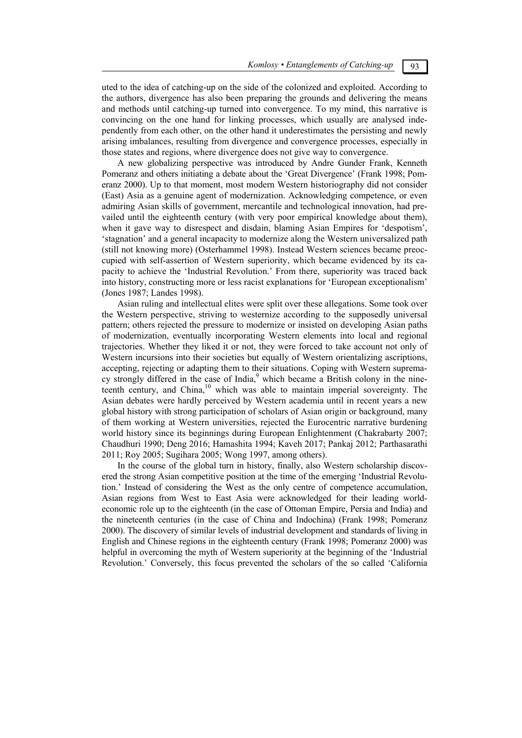uted to the idea of catching-up on the side of the colonized and exploited. According to the authors, divergence has also been preparing the grounds and delivering the means and methods until catching-up turned into convergence. To my mind, this narrative is convincing on the one hand for linking processes, which usually are analysed independently from each other, on the other hand it underestimates the persisting and newly arising imbalances, resulting from divergence and convergence processes, especially in those states and regions, where divergence does not give way to convergence.

A new globalizing perspective was introduced by Andre Gunder Frank, Kenneth Pomeranz and others initiating a debate about the 'Great Divergence' (Frank 1998; Pomeranz 2000). Up to that moment, most modern Western historiography did not consider (East) Asia as a genuine agent of modernization. Acknowledging competence, or even admiring Asian skills of government, mercantile and technological innovation, had prevailed until the eighteenth century (with very poor empirical knowledge about them), when it gave way to disrespect and disdain, blaming Asian Empires for 'despotism', 'stagnation' and a general incapacity to modernize along the Western universalized path (still not knowing more) (Osterhammel 1998). Instead Western sciences became preoccupied with self-assertion of Western superiority, which became evidenced by its capacity to achieve the 'Industrial Revolution.' From there, superiority was traced back into history, constructing more or less racist explanations for 'European exceptionalism' (Jones 1987; Landes 1998).

Asian ruling and intellectual elites were split over these allegations. Some took over the Western perspective, striving to westernize according to the supposedly universal pattern; others rejected the pressure to modernize or insisted on developing Asian paths of modernization, eventually incorporating Western elements into local and regional trajectories. Whether they liked it or not, they were forced to take account not only of Western incursions into their societies but equally of Western orientalizing ascriptions, accepting, rejecting or adapting them to their situations. Coping with Western supremacy strongly differed in the case of India,<sup>9</sup> which became a British colony in the nineteenth century, and China,<sup>10</sup> which was able to maintain imperial sovereignty. The Asian debates were hardly perceived by Western academia until in recent years a new global history with strong participation of scholars of Asian origin or background, many of them working at Western universities, rejected the Eurocentric narrative burdening world history since its beginnings during European Enlightenment (Chakrabarty 2007; Chaudhuri 1990; Deng 2016; Hamashita 1994; Kaveh 2017; Pankaj 2012; Parthasarathi 2011; Roy 2005; Sugihara 2005; Wong 1997, among others).

In the course of the global turn in history, finally, also Western scholarship discovered the strong Asian competitive position at the time of the emerging 'Industrial Revolution.' Instead of considering the West as the only centre of competence accumulation, Asian regions from West to East Asia were acknowledged for their leading worldeconomic role up to the eighteenth (in the case of Ottoman Empire, Persia and India) and the nineteenth centuries (in the case of China and Indochina) (Frank 1998; Pomeranz 2000). The discovery of similar levels of industrial development and standards of living in English and Chinese regions in the eighteenth century (Frank 1998; Pomeranz 2000) was helpful in overcoming the myth of Western superiority at the beginning of the 'Industrial Revolution.' Conversely, this focus prevented the scholars of the so called 'California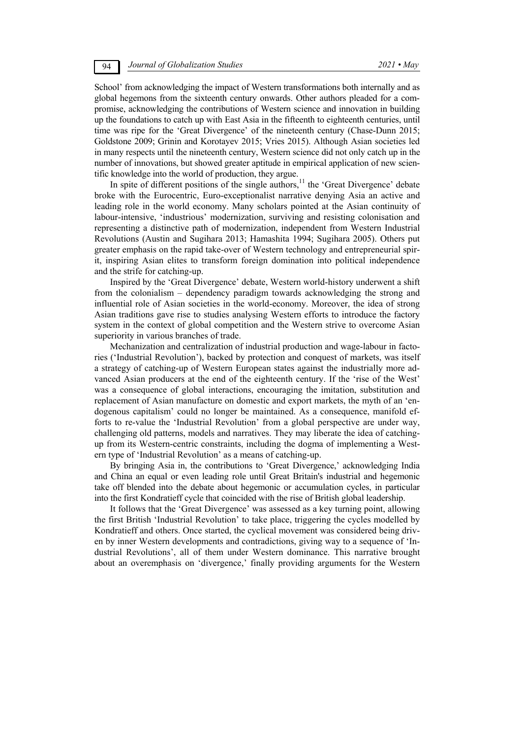School' from acknowledging the impact of Western transformations both internally and as global hegemons from the sixteenth century onwards. Other authors pleaded for a compromise, acknowledging the contributions of Western science and innovation in building up the foundations to catch up with East Asia in the fifteenth to eighteenth centuries, until time was ripe for the 'Great Divergence' of the nineteenth century (Chase-Dunn 2015; Goldstone 2009; Grinin and Korotayev 2015; Vries 2015). Although Asian societies led in many respects until the nineteenth century, Western science did not only catch up in the number of innovations, but showed greater aptitude in empirical application of new scientific knowledge into the world of production, they argue.

In spite of different positions of the single authors,<sup>11</sup> the 'Great Divergence' debate broke with the Eurocentric, Euro-exceptionalist narrative denying Asia an active and leading role in the world economy. Many scholars pointed at the Asian continuity of labour-intensive, 'industrious' modernization, surviving and resisting colonisation and representing a distinctive path of modernization, independent from Western Industrial Revolutions (Austin and Sugihara 2013; Hamashita 1994; Sugihara 2005). Others put greater emphasis on the rapid take-over of Western technology and entrepreneurial spirit, inspiring Asian elites to transform foreign domination into political independence and the strife for catching-up.

Inspired by the 'Great Divergence' debate, Western world-history underwent a shift from the colonialism – dependency paradigm towards acknowledging the strong and influential role of Asian societies in the world-economy. Moreover, the idea of strong Asian traditions gave rise to studies analysing Western efforts to introduce the factory system in the context of global competition and the Western strive to overcome Asian superiority in various branches of trade.

Mechanization and centralization of industrial production and wage-labour in factories ('Industrial Revolution'), backed by protection and conquest of markets, was itself a strategy of catching-up of Western European states against the industrially more advanced Asian producers at the end of the eighteenth century. If the 'rise of the West' was a consequence of global interactions, encouraging the imitation, substitution and replacement of Asian manufacture on domestic and export markets, the myth of an 'endogenous capitalism' could no longer be maintained. As a consequence, manifold efforts to re-value the 'Industrial Revolution' from a global perspective are under way, challenging old patterns, models and narratives. They may liberate the idea of catchingup from its Western-centric constraints, including the dogma of implementing a Western type of 'Industrial Revolution' as a means of catching-up.

By bringing Asia in, the contributions to 'Great Divergence,' acknowledging India and China an equal or even leading role until Great Britain's industrial and hegemonic take off blended into the debate about hegemonic or accumulation cycles, in particular into the first Kondratieff cycle that coincided with the rise of British global leadership.

It follows that the 'Great Divergence' was assessed as a key turning point, allowing the first British 'Industrial Revolution' to take place, triggering the cycles modelled by Kondratieff and others. Once started, the cyclical movement was considered being driven by inner Western developments and contradictions, giving way to a sequence of 'Industrial Revolutions', all of them under Western dominance. This narrative brought about an overemphasis on 'divergence,' finally providing arguments for the Western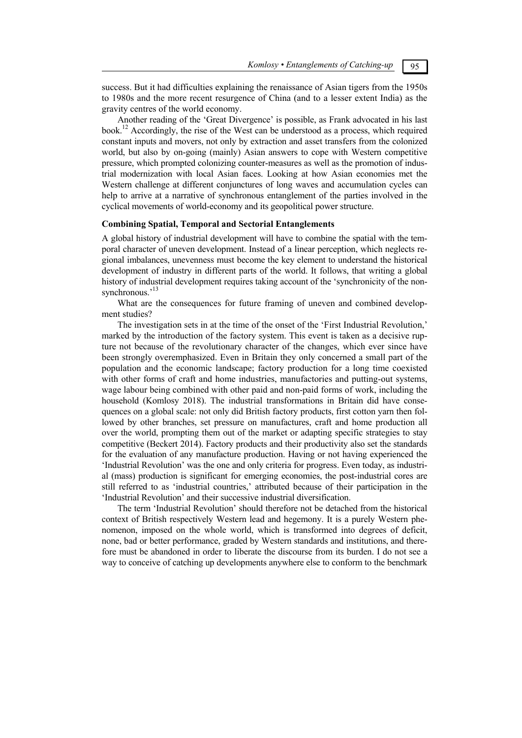success. But it had difficulties explaining the renaissance of Asian tigers from the 1950s to 1980s and the more recent resurgence of China (and to a lesser extent India) as the gravity centres of the world economy.

Another reading of the 'Great Divergence' is possible, as Frank advocated in his last book.12 Accordingly, the rise of the West can be understood as a process, which required constant inputs and movers, not only by extraction and asset transfers from the colonized world, but also by on-going (mainly) Asian answers to cope with Western competitive pressure, which prompted colonizing counter-measures as well as the promotion of industrial modernization with local Asian faces. Looking at how Asian economies met the Western challenge at different conjunctures of long waves and accumulation cycles can help to arrive at a narrative of synchronous entanglement of the parties involved in the cyclical movements of world-economy and its geopolitical power structure.

## **Combining Spatial, Temporal and Sectorial Entanglements**

A global history of industrial development will have to combine the spatial with the temporal character of uneven development. Instead of a linear perception, which neglects regional imbalances, unevenness must become the key element to understand the historical development of industry in different parts of the world. It follows, that writing a global history of industrial development requires taking account of the 'synchronicity of the nonsynchronous.<sup>13</sup>

What are the consequences for future framing of uneven and combined development studies?

The investigation sets in at the time of the onset of the 'First Industrial Revolution,' marked by the introduction of the factory system. This event is taken as a decisive rupture not because of the revolutionary character of the changes, which ever since have been strongly overemphasized. Even in Britain they only concerned a small part of the population and the economic landscape; factory production for a long time coexisted with other forms of craft and home industries, manufactories and putting-out systems, wage labour being combined with other paid and non-paid forms of work, including the household (Komlosy 2018). The industrial transformations in Britain did have consequences on a global scale: not only did British factory products, first cotton yarn then followed by other branches, set pressure on manufactures, craft and home production all over the world, prompting them out of the market or adapting specific strategies to stay competitive (Beckert 2014). Factory products and their productivity also set the standards for the evaluation of any manufacture production. Having or not having experienced the 'Industrial Revolution' was the one and only criteria for progress. Even today, as industrial (mass) production is significant for emerging economies, the post-industrial cores are still referred to as 'industrial countries,' attributed because of their participation in the 'Industrial Revolution' and their successive industrial diversification.

The term 'Industrial Revolution' should therefore not be detached from the historical context of British respectively Western lead and hegemony. It is a purely Western phenomenon, imposed on the whole world, which is transformed into degrees of deficit, none, bad or better performance, graded by Western standards and institutions, and therefore must be abandoned in order to liberate the discourse from its burden. I do not see a way to conceive of catching up developments anywhere else to conform to the benchmark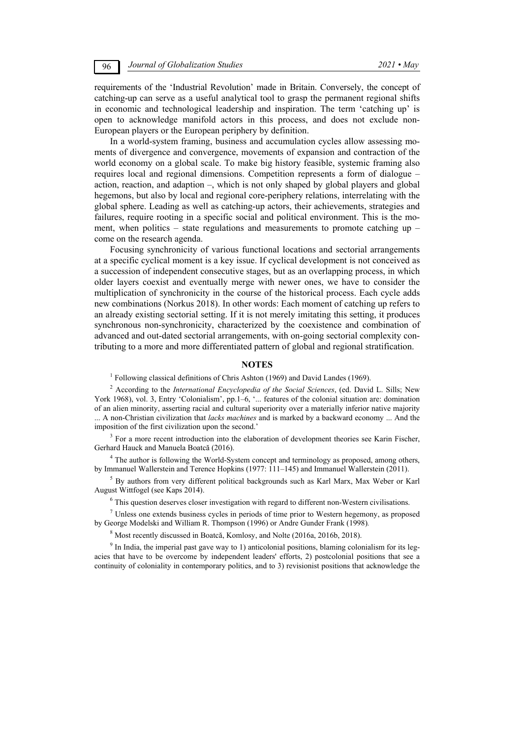requirements of the 'Industrial Revolution' made in Britain. Conversely, the concept of catching-up can serve as a useful analytical tool to grasp the permanent regional shifts in economic and technological leadership and inspiration. The term 'catching up' is open to acknowledge manifold actors in this process, and does not exclude non-European players or the European periphery by definition.

In a world-system framing, business and accumulation cycles allow assessing moments of divergence and convergence, movements of expansion and contraction of the world economy on a global scale. To make big history feasible, systemic framing also requires local and regional dimensions. Competition represents a form of dialogue – action, reaction, and adaption –, which is not only shaped by global players and global hegemons, but also by local and regional core-periphery relations, interrelating with the global sphere. Leading as well as catching-up actors, their achievements, strategies and failures, require rooting in a specific social and political environment. This is the moment, when politics – state regulations and measurements to promote catching up – come on the research agenda.

Focusing synchronicity of various functional locations and sectorial arrangements at a specific cyclical moment is a key issue. If cyclical development is not conceived as a succession of independent consecutive stages, but as an overlapping process, in which older layers coexist and eventually merge with newer ones, we have to consider the multiplication of synchronicity in the course of the historical process. Each cycle adds new combinations (Norkus 2018). In other words: Each moment of catching up refers to an already existing sectorial setting. If it is not merely imitating this setting, it produces synchronous non-synchronicity, characterized by the coexistence and combination of advanced and out-dated sectorial arrangements, with on-going sectorial complexity contributing to a more and more differentiated pattern of global and regional stratification.

### **NOTES**

<sup>1</sup> Following classical definitions of Chris Ashton (1969) and David Landes (1969).

2 According to the *International Encyclopedia of the Social Sciences*, (ed. David L. Sills; New York 1968), vol. 3, Entry 'Colonialism', pp.1-6, '... features of the colonial situation are: domination of an alien minority, asserting racial and cultural superiority over a materially inferior native majority ... A non-Christian civilization that *lacks machines* and is marked by a backward economy ... And the imposition of the first civilization upon the second.'

<sup>3</sup> For a more recent introduction into the elaboration of development theories see Karin Fischer, Gerhard Hauck and Manuela Boatcă (2016).

<sup>4</sup> The author is following the World-System concept and terminology as proposed, among others, by Immanuel Wallerstein and Terence Hopkins (1977: 111*–*145) and Immanuel Wallerstein (2011).

<sup>5</sup> By authors from very different political backgrounds such as Karl Marx, Max Weber or Karl August Wittfogel (see Kaps 2014).

<sup>6</sup> This question deserves closer investigation with regard to different non-Western civilisations.

<sup>7</sup> Unless one extends business cycles in periods of time prior to Western hegemony, as proposed by George Modelski and William R. Thompson (1996) or Andre Gunder Frank (1998)*.*

<sup>8</sup> Most recently discussed in Boatcă, Komlosy, and Nolte (2016a, 2016b, 2018).

<sup>9</sup> In India, the imperial past gave way to 1) anticolonial positions, blaming colonialism for its legacies that have to be overcome by independent leaders' efforts, 2) postcolonial positions that see a continuity of coloniality in contemporary politics, and to 3) revisionist positions that acknowledge the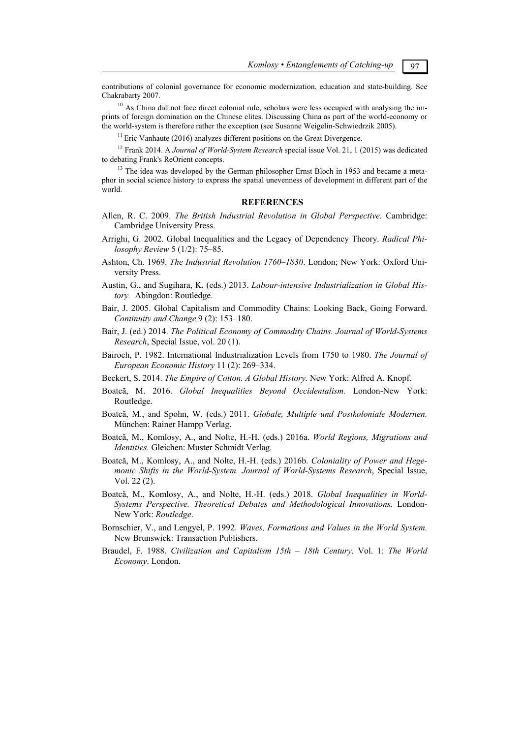contributions of colonial governance for economic modernization, education and state-building. See Chakrabarty 2007.

<sup>10</sup> As China did not face direct colonial rule, scholars were less occupied with analysing the imprints of foreign domination on the Chinese elites. Discussing China as part of the world-economy or the world-system is therefore rather the exception (see Susanne Weigelin-Schwiedrzik 2005).

 $11$  Eric Vanhaute (2016) analyzes different positions on the Great Divergence.

12 Frank 2014. A *Journal of World-System Research* special issue Vol. 21, 1 (2015) was dedicated to debating Frank's ReOrient concepts.

<sup>13</sup> The idea was developed by the German philosopher Ernst Bloch in 1953 and became a metaphor in social science history to express the spatial unevenness of development in different part of the world.

#### **REFERENCES**

- Allen, R. C. 2009. *The British Industrial Revolution in Global Perspective*. Cambridge: Cambridge University Press.
- Arrighi, G. 2002. Global Inequalities and the Legacy of Dependency Theory. *Radical Philosophy Review* 5 (1/2): 75*–*85.
- Ashton, Ch. 1969. *The Industrial Revolution 1760–1830*. London; New York: Oxford University Press.
- Austin, G., and Sugihara, K. (eds.) 2013. *Labour-intensive Industrialization in Global History.* Abingdon: Routledge.
- Bair, J. 2005. Global Capitalism and Commodity Chains: Looking Back, Going Forward. *Continuity and Change* 9 (2): 153*–*180.
- Bair, J. (ed.) 2014. *The Political Economy of Commodity Chains. Journal of World-Systems Research*, Special Issue, vol. 20 (1).
- Bairoch, P. 1982. International Industrialization Levels from 1750 to 1980. *The Journal of European Economic History* 11 (2): 269*–*334.
- Beckert, S. 2014. *The Empire of Cotton. A Global History.* New York: Alfred A. Knopf.
- Boatcă, M. 2016. *Global Inequalities Beyond Occidentalism.* London-New York: Routledge.
- Boatcă, M., and Spohn, W. (eds.) 2011. *Globale, Multiple und Postkoloniale Modernen.* München: Rainer Hampp Verlag.
- Boatcă, M., Komlosy, A., and Nolte, H.-H. (eds.) 2016a. *World Regions, Migrations and Identities.* Gleichen: Muster Schmidt Verlag.
- Boatcă, M., Komlosy, A., and Nolte, H.-H. (eds.) 2016b. *Coloniality of Power and Hegemonic Shifts in the World-System. Journal of World-Systems Research*, Special Issue, Vol. 22 (2).
- Boatcă, M., Komlosy, A., and Nolte, H.-H. (eds.) 2018. *Global Inequalities in World-Systems Perspective. Theoretical Debates and Methodological Innovations.* London-New York: *Routledge*.
- Bornschier, V., and Lengyel, P. 1992. *Waves, Formations and Values in the World System.*  New Brunswick: Transaction Publishers.
- Braudel, F. 1988. *Civilization and Capitalism 15th 18th Century*. Vol. 1: *The World Economy*. London.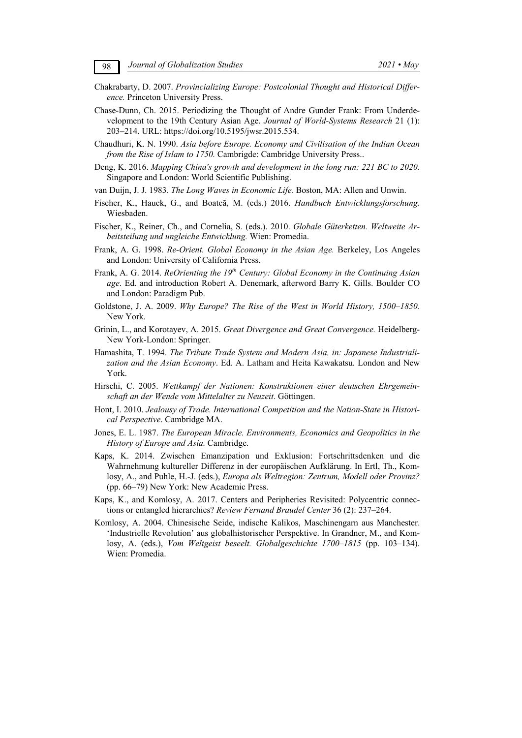- Chakrabarty, D. 2007. *Provincializing Europe: Postcolonial Thought and Historical Difference.* Princeton University Press.
- Chase-Dunn, Ch. 2015. Periodizing the Thought of Andre Gunder Frank: From Underdevelopment to the 19th Century Asian Age. *Journal of World-Systems Research* 21 (1): 203–214. URL: https://doi.org/10.5195/jwsr.2015.534.
- Chaudhuri, K. N. 1990. *Asia before Europe. Economy and Civilisation of the Indian Ocean from the Rise of Islam to 1750.* Cambrigde: Cambridge University Press..
- Deng, K. 2016. *Mapping China's growth and development in the long run: 221 BC to 2020.* Singapore and London: World Scientific Publishing.
- van Duijn, J. J. 1983. *The Long Waves in Economic Life.* Boston, MA: Allen and Unwin.
- Fischer, K., Hauck, G., and Boatcă, M. (eds.) 2016. *Handbuch Entwicklungsforschung.* Wiesbaden.
- Fischer, K., Reiner, Ch., and Cornelia, S. (eds.). 2010. *Globale Güterketten. Weltweite Arbeitsteilung und ungleiche Entwicklung.* Wien: Promedia.
- Frank, A. G. 1998. *Re-Orient. Global Economy in the Asian Age.* Berkeley, Los Angeles and London: University of California Press.
- Frank, A. G. 2014. *ReOrienting the 19th Century: Global Economy in the Continuing Asian age*. Ed. and introduction Robert A. Denemark, afterword Barry K. Gills. Boulder CO and London: Paradigm Pub.
- Goldstone, J. A. 2009. *Why Europe? The Rise of the West in World History, 1500–1850.* New York.
- Grinin, L., and Korotayev, A. 2015. *Great Divergence and Great Convergence.* Heidelberg-New York-London: Springer.
- Hamashita, T. 1994. *The Tribute Trade System and Modern Asia, in: Japanese Industrialization and the Asian Economy*. Ed. A. Latham and Heita Kawakatsu. London and New York.
- Hirschi, C. 2005. *Wettkampf der Nationen: Konstruktionen einer deutschen Ehrgemeinschaft an der Wende vom Mittelalter zu Neuzeit*. Göttingen.
- Hont, I. 2010. *Jealousy of Trade. International Competition and the Nation-State in Historical Perspective*. Cambridge MA.
- Jones, E. L. 1987. *The European Miracle. Environments, Economics and Geopolitics in the History of Europe and Asia.* Cambridge.
- Kaps, K. 2014. Zwischen Emanzipation und Exklusion: Fortschrittsdenken und die Wahrnehmung kultureller Differenz in der europäischen Aufklärung. In Ertl, Th., Komlosy, A., and Puhle, H.-J. (eds.), *Europa als Weltregion: Zentrum, Modell oder Provinz?*  (pp. 66*–*79) New York: New Academic Press.
- Kaps, K., and Komlosy, A. 2017. Centers and Peripheries Revisited: Polycentric connections or entangled hierarchies? *Review Fernand Braudel Center* 36 (2): 237*–*264.
- Komlosy, A. 2004. Chinesische Seide, indische Kalikos, Maschinengarn aus Manchester. 'Industrielle Revolution' aus globalhistorischer Perspektive. In Grandner, M., and Komlosy, A. (eds.), *Vom Weltgeist beseelt. Globalgeschichte 1700–1815* (pp. 103*–*134). Wien: Promedia.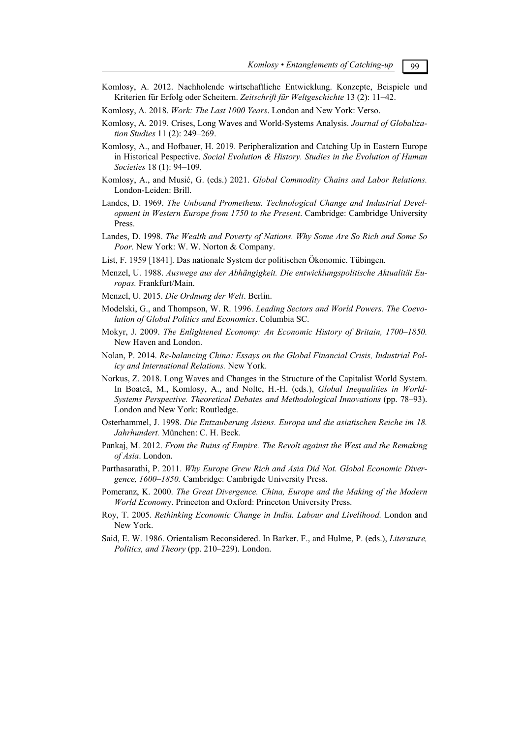- Komlosy, A. 2012. Nachholende wirtschaftliche Entwicklung. Konzepte, Beispiele und Kriterien für Erfolg oder Scheitern. *Zeitschrift für Weltgeschichte* 13 (2): 11*–*42.
- Komlosy, A. 2018. *Work: The Last 1000 Years*. London and New York: Verso.
- Komlosy, A. 2019. Crises, Long Waves and World-Systems Analysis. *Journal of Globalization Studies* 11 (2): 249*–*269.
- Komlosy, A., and Hofbauer, H. 2019. Peripheralization and Catching Up in Eastern Europe in Historical Pespective. *Social Evolution & History. Studies in the Evolution of Human Societies* 18 (1): 94*–*109.
- Komlosy, A., and Musić, G. (eds.) 2021. *Global Commodity Chains and Labor Relations.*  London-Leiden: Brill.
- Landes, D. 1969. *The Unbound Prometheus. Technological Change and Industrial Development in Western Europe from 1750 to the Present*. Cambridge: Cambridge University Press.
- Landes, D. 1998. *The Wealth and Poverty of Nations. Why Some Are So Rich and Some So Poor.* New York: W. W. Norton & Company.
- List, F. 1959 [1841]. Das nationale System der politischen Ökonomie. Tübingen.
- Menzel, U. 1988. *Auswege aus der Abhängigkeit. Die entwicklungspolitische Aktualität Europas.* Frankfurt/Main.
- Menzel, U. 2015. *Die Ordnung der Welt*. Berlin.
- Modelski, G., and Thompson, W. R. 1996. *Leading Sectors and World Powers. The Coevolution of Global Politics and Economics*. Columbia SC.
- Mokyr, J. 2009. *The Enlightened Economy: An Economic History of Britain, 1700–1850.* New Haven and London.
- Nolan, P. 2014. *Re-balancing China: Essays on the Global Financial Crisis, Industrial Policy and International Relations.* New York.
- Norkus, Z. 2018. Long Waves and Changes in the Structure of the Capitalist World System. In Boatcă, M., Komlosy, A., and Nolte, H.-H. (eds.), *Global Inequalities in World-Systems Perspective. Theoretical Debates and Methodological Innovations* (pp. 78*–*93). London and New York: Routledge.
- Osterhammel, J. 1998. *Die Entzauberung Asiens. Europa und die asiatischen Reiche im 18. Jahrhundert.* München: C. H. Beck.
- Pankaj, M. 2012. *From the Ruins of Empire. The Revolt against the West and the Remaking of Asia*. London.
- Parthasarathi, P. 2011. *Why Europe Grew Rich and Asia Did Not. Global Economic Divergence, 1600–1850.* Cambridge: Cambrigde University Press.
- Pomeranz, K. 2000. *The Great Divergence. China, Europe and the Making of the Modern World Econom*y. Princeton and Oxford: Princeton University Press.
- Roy, T. 2005. *Rethinking Economic Change in India. Labour and Livelihood.* London and New York.
- Said, E. W. 1986. Orientalism Reconsidered. In Barker. F., and Hulme, P. (eds.), *Literature, Politics, and Theory* (pp. 210*–*229). London.